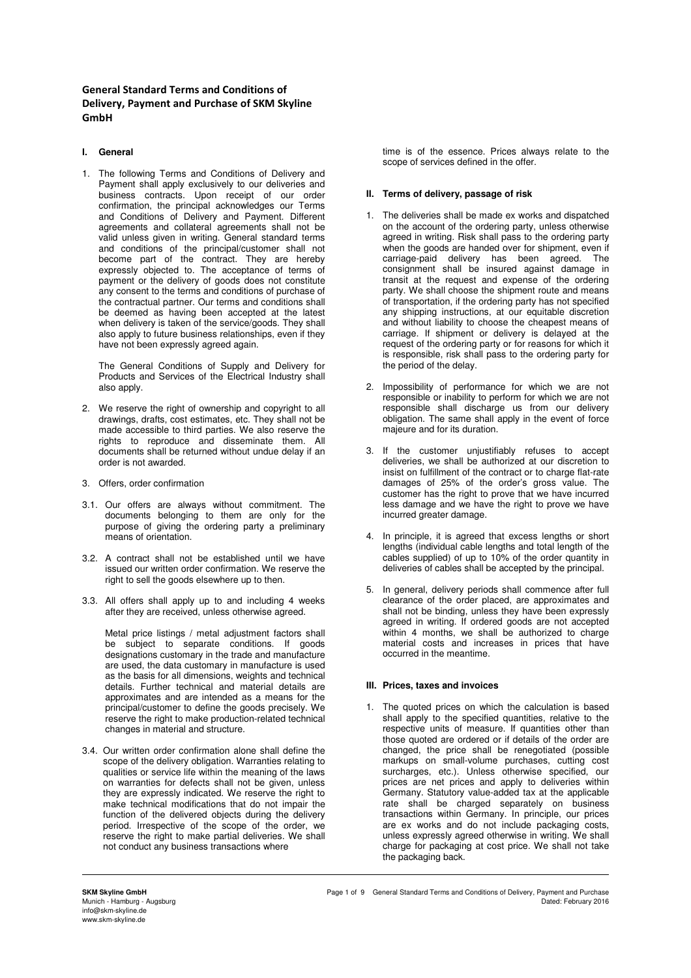**General Standard Terms and Conditions of Delivery, Payment and Purchase of SKM Skyline GmbH** 

# **I. General**

1. The following Terms and Conditions of Delivery and Payment shall apply exclusively to our deliveries and business contracts. Upon receipt of our order confirmation, the principal acknowledges our Terms and Conditions of Delivery and Payment. Different agreements and collateral agreements shall not be valid unless given in writing. General standard terms and conditions of the principal/customer shall not become part of the contract. They are hereby expressly objected to. The acceptance of terms of payment or the delivery of goods does not constitute any consent to the terms and conditions of purchase of the contractual partner. Our terms and conditions shall be deemed as having been accepted at the latest when delivery is taken of the service/goods. They shall also apply to future business relationships, even if they have not been expressly agreed again.

The General Conditions of Supply and Delivery for Products and Services of the Electrical Industry shall also apply.

- 2. We reserve the right of ownership and copyright to all drawings, drafts, cost estimates, etc. They shall not be made accessible to third parties. We also reserve the rights to reproduce and disseminate them. All documents shall be returned without undue delay if an order is not awarded.
- 3. Offers, order confirmation
- 3.1. Our offers are always without commitment. The documents belonging to them are only for the purpose of giving the ordering party a preliminary means of orientation.
- 3.2. A contract shall not be established until we have issued our written order confirmation. We reserve the right to sell the goods elsewhere up to then.
- 3.3. All offers shall apply up to and including 4 weeks after they are received, unless otherwise agreed.

Metal price listings / metal adjustment factors shall be subject to separate conditions. If goods designations customary in the trade and manufacture are used, the data customary in manufacture is used as the basis for all dimensions, weights and technical details. Further technical and material details are approximates and are intended as a means for the principal/customer to define the goods precisely. We reserve the right to make production-related technical changes in material and structure.

3.4. Our written order confirmation alone shall define the scope of the delivery obligation. Warranties relating to qualities or service life within the meaning of the laws on warranties for defects shall not be given, unless they are expressly indicated. We reserve the right to make technical modifications that do not impair the function of the delivered objects during the delivery period. Irrespective of the scope of the order, we reserve the right to make partial deliveries. We shall not conduct any business transactions where

time is of the essence. Prices always relate to the scope of services defined in the offer.

### **II. Terms of delivery, passage of risk**

- 1. The deliveries shall be made ex works and dispatched on the account of the ordering party, unless otherwise agreed in writing. Risk shall pass to the ordering party when the goods are handed over for shipment, even if carriage-paid delivery has been agreed. The consignment shall be insured against damage in transit at the request and expense of the ordering party. We shall choose the shipment route and means of transportation, if the ordering party has not specified any shipping instructions, at our equitable discretion and without liability to choose the cheapest means of carriage. If shipment or delivery is delayed at the request of the ordering party or for reasons for which it is responsible, risk shall pass to the ordering party for the period of the delay.
- 2. Impossibility of performance for which we are not responsible or inability to perform for which we are not responsible shall discharge us from our delivery obligation. The same shall apply in the event of force majeure and for its duration.
- 3. If the customer unjustifiably refuses to accept deliveries, we shall be authorized at our discretion to insist on fulfillment of the contract or to charge flat-rate damages of 25% of the order's gross value. The customer has the right to prove that we have incurred less damage and we have the right to prove we have incurred greater damage.
- 4. In principle, it is agreed that excess lengths or short lengths (individual cable lengths and total length of the cables supplied) of up to 10% of the order quantity in deliveries of cables shall be accepted by the principal.
- 5. In general, delivery periods shall commence after full clearance of the order placed, are approximates and shall not be binding, unless they have been expressly agreed in writing. If ordered goods are not accepted within 4 months, we shall be authorized to charge material costs and increases in prices that have occurred in the meantime.

# **III. Prices, taxes and invoices**

1. The quoted prices on which the calculation is based shall apply to the specified quantities, relative to the respective units of measure. If quantities other than those quoted are ordered or if details of the order are changed, the price shall be renegotiated (possible markups on small-volume purchases, cutting cost surcharges, etc.). Unless otherwise specified, our prices are net prices and apply to deliveries within Germany. Statutory value-added tax at the applicable rate shall be charged separately on business transactions within Germany. In principle, our prices are ex works and do not include packaging costs, unless expressly agreed otherwise in writing. We shall charge for packaging at cost price. We shall not take the packaging back.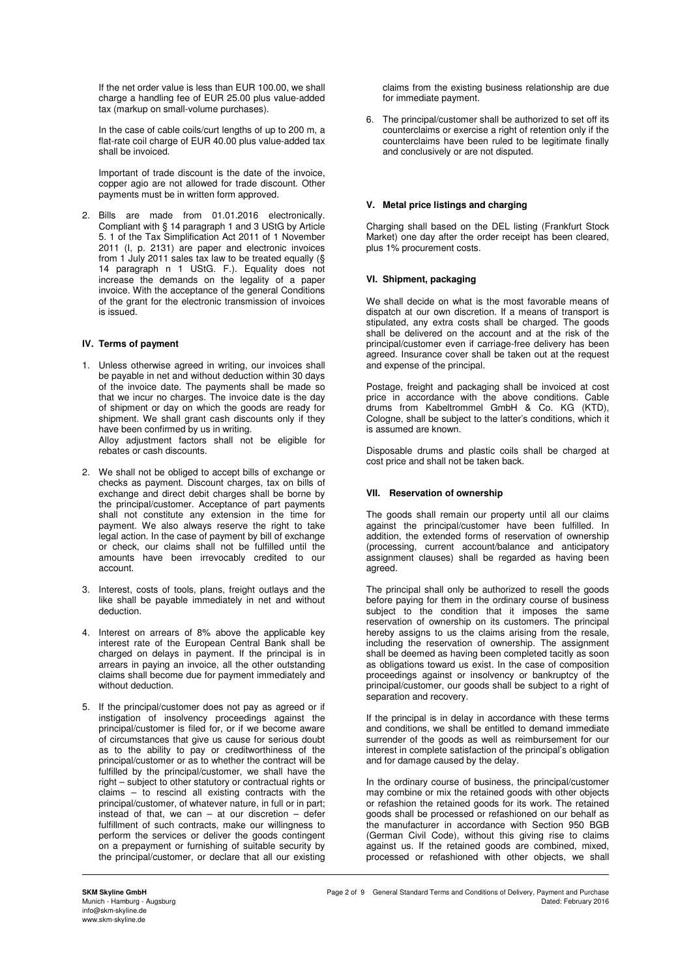If the net order value is less than EUR 100.00, we shall charge a handling fee of EUR 25.00 plus value-added tax (markup on small-volume purchases).

In the case of cable coils/curt lengths of up to 200 m, a flat-rate coil charge of EUR 40.00 plus value-added tax shall be invoiced.

 Important of trade discount is the date of the invoice, copper agio are not allowed for trade discount. Other payments must be in written form approved.

2. Bills are made from 01.01.2016 electronically. Compliant with § 14 paragraph 1 and 3 UStG by Article 5. 1 of the Tax Simplification Act 2011 of 1 November 2011 (I, p. 2131) are paper and electronic invoices from 1 July 2011 sales tax law to be treated equally (§ 14 paragraph n 1 UStG. F.). Equality does not increase the demands on the legality of a paper invoice. With the acceptance of the general Conditions of the grant for the electronic transmission of invoices is issued.

### **IV. Terms of payment**

- 1. Unless otherwise agreed in writing, our invoices shall be payable in net and without deduction within 30 days of the invoice date. The payments shall be made so that we incur no charges. The invoice date is the day of shipment or day on which the goods are ready for shipment. We shall grant cash discounts only if they have been confirmed by us in writing. Alloy adjustment factors shall not be eligible for rebates or cash discounts.
- 2. We shall not be obliged to accept bills of exchange or checks as payment. Discount charges, tax on bills of exchange and direct debit charges shall be borne by the principal/customer. Acceptance of part payments shall not constitute any extension in the time for payment. We also always reserve the right to take legal action. In the case of payment by bill of exchange or check, our claims shall not be fulfilled until the amounts have been irrevocably credited to our account.
- 3. Interest, costs of tools, plans, freight outlays and the like shall be payable immediately in net and without deduction.
- 4. Interest on arrears of 8% above the applicable key interest rate of the European Central Bank shall be charged on delays in payment. If the principal is in arrears in paying an invoice, all the other outstanding claims shall become due for payment immediately and without deduction.
- 5. If the principal/customer does not pay as agreed or if instigation of insolvency proceedings against the principal/customer is filed for, or if we become aware of circumstances that give us cause for serious doubt as to the ability to pay or creditworthiness of the principal/customer or as to whether the contract will be fulfilled by the principal/customer, we shall have the right – subject to other statutory or contractual rights or claims – to rescind all existing contracts with the principal/customer, of whatever nature, in full or in part; instead of that, we can  $-$  at our discretion  $-$  defer fulfillment of such contracts, make our willingness to perform the services or deliver the goods contingent on a prepayment or furnishing of suitable security by the principal/customer, or declare that all our existing

claims from the existing business relationship are due for immediate payment.

6. The principal/customer shall be authorized to set off its counterclaims or exercise a right of retention only if the counterclaims have been ruled to be legitimate finally and conclusively or are not disputed.

# **V. Metal price listings and charging**

Charging shall based on the DEL listing (Frankfurt Stock Market) one day after the order receipt has been cleared, plus 1% procurement costs.

# **VI. Shipment, packaging**

We shall decide on what is the most favorable means of dispatch at our own discretion. If a means of transport is stipulated, any extra costs shall be charged. The goods shall be delivered on the account and at the risk of the principal/customer even if carriage-free delivery has been agreed. Insurance cover shall be taken out at the request and expense of the principal.

Postage, freight and packaging shall be invoiced at cost price in accordance with the above conditions. Cable drums from Kabeltrommel GmbH & Co. KG (KTD), Cologne, shall be subject to the latter's conditions, which it is assumed are known.

Disposable drums and plastic coils shall be charged at cost price and shall not be taken back.

# **VII. Reservation of ownership**

The goods shall remain our property until all our claims against the principal/customer have been fulfilled. In addition, the extended forms of reservation of ownership (processing, current account/balance and anticipatory assignment clauses) shall be regarded as having been agreed.

The principal shall only be authorized to resell the goods before paying for them in the ordinary course of business subject to the condition that it imposes the same reservation of ownership on its customers. The principal hereby assigns to us the claims arising from the resale, including the reservation of ownership. The assignment shall be deemed as having been completed tacitly as soon as obligations toward us exist. In the case of composition proceedings against or insolvency or bankruptcy of the principal/customer, our goods shall be subject to a right of separation and recovery.

If the principal is in delay in accordance with these terms and conditions, we shall be entitled to demand immediate surrender of the goods as well as reimbursement for our interest in complete satisfaction of the principal's obligation and for damage caused by the delay.

In the ordinary course of business, the principal/customer may combine or mix the retained goods with other objects or refashion the retained goods for its work. The retained goods shall be processed or refashioned on our behalf as the manufacturer in accordance with Section 950 BGB (German Civil Code), without this giving rise to claims against us. If the retained goods are combined, mixed, processed or refashioned with other objects, we shall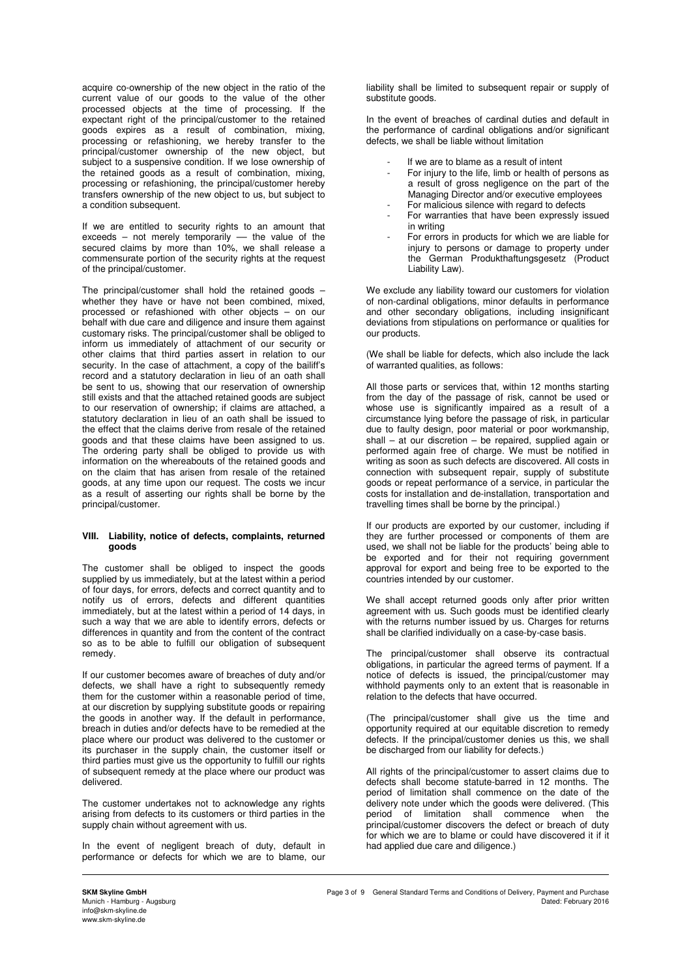acquire co-ownership of the new object in the ratio of the current value of our goods to the value of the other processed objects at the time of processing. If the expectant right of the principal/customer to the retained goods expires as a result of combination, mixing, processing or refashioning, we hereby transfer to the principal/customer ownership of the new object, but subject to a suspensive condition. If we lose ownership of the retained goods as a result of combination, mixing, processing or refashioning, the principal/customer hereby transfers ownership of the new object to us, but subject to a condition subsequent.

If we are entitled to security rights to an amount that exceeds – not merely temporarily  $-$  the value of the secured claims by more than 10%, we shall release a commensurate portion of the security rights at the request of the principal/customer.

The principal/customer shall hold the retained goods  $$ whether they have or have not been combined, mixed, processed or refashioned with other objects – on our behalf with due care and diligence and insure them against customary risks. The principal/customer shall be obliged to inform us immediately of attachment of our security or other claims that third parties assert in relation to our security. In the case of attachment, a copy of the bailiff's record and a statutory declaration in lieu of an oath shall be sent to us, showing that our reservation of ownership still exists and that the attached retained goods are subject to our reservation of ownership; if claims are attached, a statutory declaration in lieu of an oath shall be issued to the effect that the claims derive from resale of the retained goods and that these claims have been assigned to us. The ordering party shall be obliged to provide us with information on the whereabouts of the retained goods and on the claim that has arisen from resale of the retained goods, at any time upon our request. The costs we incur as a result of asserting our rights shall be borne by the principal/customer.

#### **VIII. Liability, notice of defects, complaints, returned goods**

The customer shall be obliged to inspect the goods supplied by us immediately, but at the latest within a period of four days, for errors, defects and correct quantity and to notify us of errors, defects and different quantities immediately, but at the latest within a period of 14 days, in such a way that we are able to identify errors, defects or differences in quantity and from the content of the contract so as to be able to fulfill our obligation of subsequent remedy.

If our customer becomes aware of breaches of duty and/or defects, we shall have a right to subsequently remedy them for the customer within a reasonable period of time, at our discretion by supplying substitute goods or repairing the goods in another way. If the default in performance, breach in duties and/or defects have to be remedied at the place where our product was delivered to the customer or its purchaser in the supply chain, the customer itself or third parties must give us the opportunity to fulfill our rights of subsequent remedy at the place where our product was delivered.

The customer undertakes not to acknowledge any rights arising from defects to its customers or third parties in the supply chain without agreement with us.

In the event of negligent breach of duty, default in performance or defects for which we are to blame, our liability shall be limited to subsequent repair or supply of substitute goods.

In the event of breaches of cardinal duties and default in the performance of cardinal obligations and/or significant defects, we shall be liable without limitation

- If we are to blame as a result of intent
- For injury to the life, limb or health of persons as a result of gross negligence on the part of the Managing Director and/or executive employees
- For malicious silence with regard to defects
- For warranties that have been expressly issued in writing
- For errors in products for which we are liable for injury to persons or damage to property under the German Produkthaftungsgesetz (Product Liability Law).

We exclude any liability toward our customers for violation of non-cardinal obligations, minor defaults in performance and other secondary obligations, including insignificant deviations from stipulations on performance or qualities for our products.

(We shall be liable for defects, which also include the lack of warranted qualities, as follows:

All those parts or services that, within 12 months starting from the day of the passage of risk, cannot be used or whose use is significantly impaired as a result of a circumstance lying before the passage of risk, in particular due to faulty design, poor material or poor workmanship, shall – at our discretion – be repaired, supplied again or performed again free of charge. We must be notified in writing as soon as such defects are discovered. All costs in connection with subsequent repair, supply of substitute goods or repeat performance of a service, in particular the costs for installation and de-installation, transportation and travelling times shall be borne by the principal.)

If our products are exported by our customer, including if they are further processed or components of them are used, we shall not be liable for the products' being able to be exported and for their not requiring government approval for export and being free to be exported to the countries intended by our customer.

We shall accept returned goods only after prior written agreement with us. Such goods must be identified clearly with the returns number issued by us. Charges for returns shall be clarified individually on a case-by-case basis.

The principal/customer shall observe its contractual obligations, in particular the agreed terms of payment. If a notice of defects is issued, the principal/customer may withhold payments only to an extent that is reasonable in relation to the defects that have occurred.

(The principal/customer shall give us the time and opportunity required at our equitable discretion to remedy defects. If the principal/customer denies us this, we shall be discharged from our liability for defects.)

All rights of the principal/customer to assert claims due to defects shall become statute-barred in 12 months. The period of limitation shall commence on the date of the delivery note under which the goods were delivered. (This period of limitation shall commence when the principal/customer discovers the defect or breach of duty for which we are to blame or could have discovered it if it had applied due care and diligence.)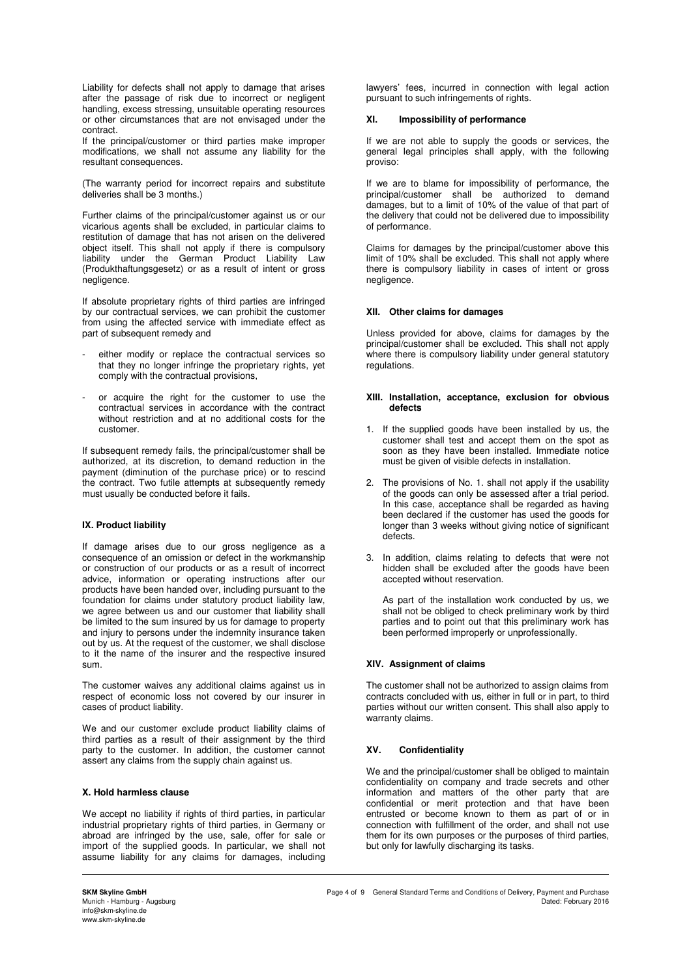Liability for defects shall not apply to damage that arises after the passage of risk due to incorrect or negligent handling, excess stressing, unsuitable operating resources or other circumstances that are not envisaged under the contract.

If the principal/customer or third parties make improper modifications, we shall not assume any liability for the resultant consequences.

(The warranty period for incorrect repairs and substitute deliveries shall be 3 months.)

Further claims of the principal/customer against us or our vicarious agents shall be excluded, in particular claims to restitution of damage that has not arisen on the delivered object itself. This shall not apply if there is compulsory liability under the German Product Liability Law (Produkthaftungsgesetz) or as a result of intent or gross negligence.

If absolute proprietary rights of third parties are infringed by our contractual services, we can prohibit the customer from using the affected service with immediate effect as part of subsequent remedy and

- either modify or replace the contractual services so that they no longer infringe the proprietary rights, yet comply with the contractual provisions,
- or acquire the right for the customer to use the contractual services in accordance with the contract without restriction and at no additional costs for the customer.

If subsequent remedy fails, the principal/customer shall be authorized, at its discretion, to demand reduction in the payment (diminution of the purchase price) or to rescind the contract. Two futile attempts at subsequently remedy must usually be conducted before it fails.

### **IX. Product liability**

If damage arises due to our gross negligence as a consequence of an omission or defect in the workmanship or construction of our products or as a result of incorrect advice, information or operating instructions after our products have been handed over, including pursuant to the foundation for claims under statutory product liability law, we agree between us and our customer that liability shall be limited to the sum insured by us for damage to property and injury to persons under the indemnity insurance taken out by us. At the request of the customer, we shall disclose to it the name of the insurer and the respective insured sum.

The customer waives any additional claims against us in respect of economic loss not covered by our insurer in cases of product liability.

We and our customer exclude product liability claims of third parties as a result of their assignment by the third party to the customer. In addition, the customer cannot assert any claims from the supply chain against us.

### **X. Hold harmless clause**

We accept no liability if rights of third parties, in particular industrial proprietary rights of third parties, in Germany or abroad are infringed by the use, sale, offer for sale or import of the supplied goods. In particular, we shall not assume liability for any claims for damages, including

lawyers' fees, incurred in connection with legal action pursuant to such infringements of rights.

#### **XI. Impossibility of performance**

If we are not able to supply the goods or services, the general legal principles shall apply, with the following proviso:

If we are to blame for impossibility of performance, the principal/customer shall be authorized to demand damages, but to a limit of 10% of the value of that part of the delivery that could not be delivered due to impossibility of performance.

Claims for damages by the principal/customer above this limit of 10% shall be excluded. This shall not apply where there is compulsory liability in cases of intent or gross negligence.

#### **XII. Other claims for damages**

Unless provided for above, claims for damages by the principal/customer shall be excluded. This shall not apply where there is compulsory liability under general statutory regulations.

#### **XIII. Installation, acceptance, exclusion for obvious defects**

- 1. If the supplied goods have been installed by us, the customer shall test and accept them on the spot as soon as they have been installed. Immediate notice must be given of visible defects in installation.
- 2. The provisions of No. 1. shall not apply if the usability of the goods can only be assessed after a trial period. In this case, acceptance shall be regarded as having been declared if the customer has used the goods for longer than 3 weeks without giving notice of significant defects.
- 3. In addition, claims relating to defects that were not hidden shall be excluded after the goods have been accepted without reservation.

As part of the installation work conducted by us, we shall not be obliged to check preliminary work by third parties and to point out that this preliminary work has been performed improperly or unprofessionally.

### **XIV. Assignment of claims**

The customer shall not be authorized to assign claims from contracts concluded with us, either in full or in part, to third parties without our written consent. This shall also apply to warranty claims.

### **XV. Confidentiality**

We and the principal/customer shall be obliged to maintain confidentiality on company and trade secrets and other information and matters of the other party that are confidential or merit protection and that have been entrusted or become known to them as part of or in connection with fulfillment of the order, and shall not use them for its own purposes or the purposes of third parties, but only for lawfully discharging its tasks.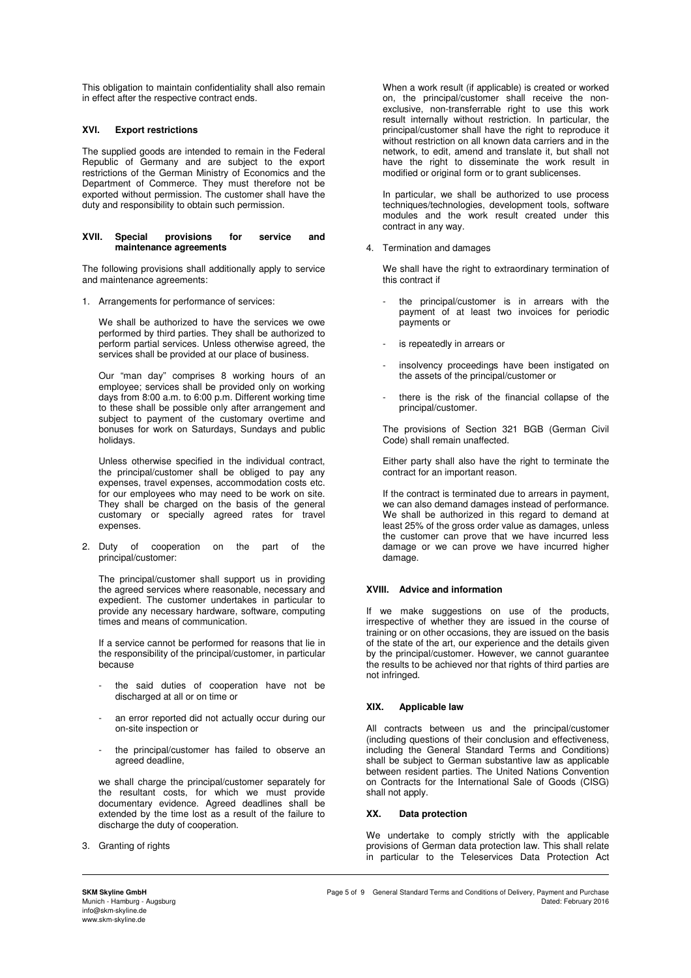This obligation to maintain confidentiality shall also remain in effect after the respective contract ends.

# **XVI. Export restrictions**

The supplied goods are intended to remain in the Federal Republic of Germany and are subject to the export restrictions of the German Ministry of Economics and the Department of Commerce. They must therefore not be exported without permission. The customer shall have the duty and responsibility to obtain such permission.

#### **XVII. Special provisions for service and maintenance agreements**

The following provisions shall additionally apply to service and maintenance agreements:

1. Arrangements for performance of services:

We shall be authorized to have the services we owe performed by third parties. They shall be authorized to perform partial services. Unless otherwise agreed, the services shall be provided at our place of business.

Our "man day" comprises 8 working hours of an employee; services shall be provided only on working days from 8:00 a.m. to 6:00 p.m. Different working time to these shall be possible only after arrangement and subject to payment of the customary overtime and bonuses for work on Saturdays, Sundays and public holidays.

Unless otherwise specified in the individual contract, the principal/customer shall be obliged to pay any expenses, travel expenses, accommodation costs etc. for our employees who may need to be work on site. They shall be charged on the basis of the general customary or specially agreed rates for travel expenses.

2. Duty of cooperation on the part of the principal/customer:

The principal/customer shall support us in providing the agreed services where reasonable, necessary and expedient. The customer undertakes in particular to provide any necessary hardware, software, computing times and means of communication.

If a service cannot be performed for reasons that lie in the responsibility of the principal/customer, in particular because

- the said duties of cooperation have not be discharged at all or on time or
- an error reported did not actually occur during our on-site inspection or
- the principal/customer has failed to observe an agreed deadline,

we shall charge the principal/customer separately for the resultant costs, for which we must provide documentary evidence. Agreed deadlines shall be extended by the time lost as a result of the failure to discharge the duty of cooperation.

3. Granting of rights

When a work result (if applicable) is created or worked on, the principal/customer shall receive the nonexclusive, non-transferrable right to use this work result internally without restriction. In particular, the principal/customer shall have the right to reproduce it without restriction on all known data carriers and in the network, to edit, amend and translate it, but shall not have the right to disseminate the work result in modified or original form or to grant sublicenses.

In particular, we shall be authorized to use process techniques/technologies, development tools, software modules and the work result created under this contract in any way.

4. Termination and damages

We shall have the right to extraordinary termination of this contract if

- the principal/customer is in arrears with the payment of at least two invoices for periodic payments or
- is repeatedly in arrears or
- insolvency proceedings have been instigated on the assets of the principal/customer or
- there is the risk of the financial collapse of the principal/customer.

The provisions of Section 321 BGB (German Civil Code) shall remain unaffected.

Either party shall also have the right to terminate the contract for an important reason.

If the contract is terminated due to arrears in payment, we can also demand damages instead of performance. We shall be authorized in this regard to demand at least 25% of the gross order value as damages, unless the customer can prove that we have incurred less damage or we can prove we have incurred higher damage.

### **XVIII. Advice and information**

If we make suggestions on use of the products, irrespective of whether they are issued in the course of training or on other occasions, they are issued on the basis of the state of the art, our experience and the details given by the principal/customer. However, we cannot guarantee the results to be achieved nor that rights of third parties are not infringed.

### **XIX. Applicable law**

All contracts between us and the principal/customer (including questions of their conclusion and effectiveness, including the General Standard Terms and Conditions) shall be subject to German substantive law as applicable between resident parties. The United Nations Convention on Contracts for the International Sale of Goods (CISG) shall not apply.

### **XX. Data protection**

We undertake to comply strictly with the applicable provisions of German data protection law. This shall relate in particular to the Teleservices Data Protection Act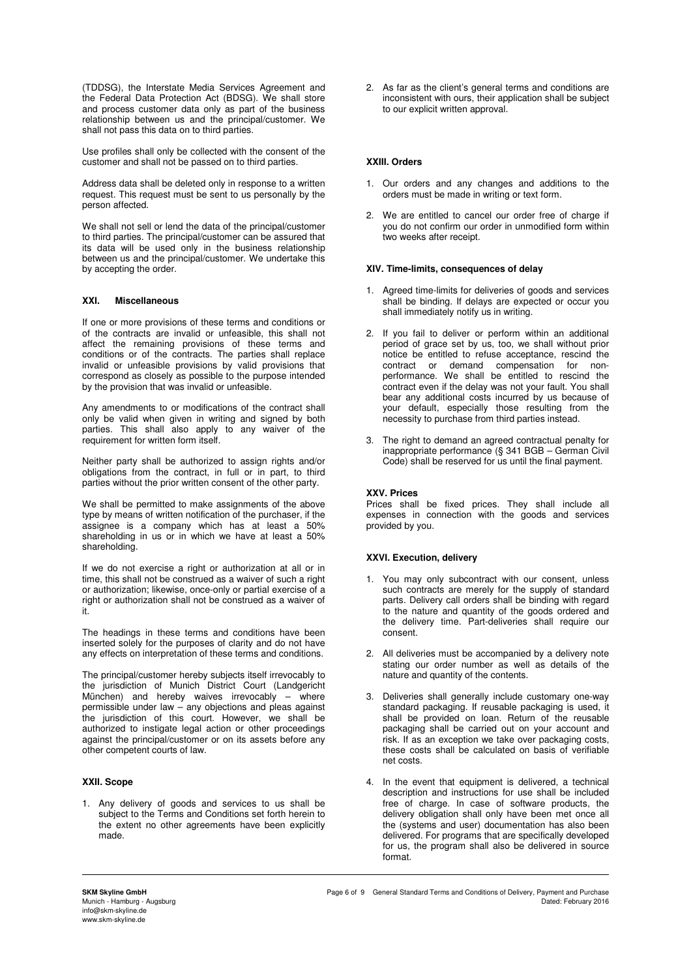(TDDSG), the Interstate Media Services Agreement and the Federal Data Protection Act (BDSG). We shall store and process customer data only as part of the business relationship between us and the principal/customer. We shall not pass this data on to third parties.

Use profiles shall only be collected with the consent of the customer and shall not be passed on to third parties.

Address data shall be deleted only in response to a written request. This request must be sent to us personally by the person affected.

We shall not sell or lend the data of the principal/customer to third parties. The principal/customer can be assured that its data will be used only in the business relationship between us and the principal/customer. We undertake this by accepting the order.

### **XXI. Miscellaneous**

If one or more provisions of these terms and conditions or of the contracts are invalid or unfeasible, this shall not affect the remaining provisions of these terms and conditions or of the contracts. The parties shall replace invalid or unfeasible provisions by valid provisions that correspond as closely as possible to the purpose intended by the provision that was invalid or unfeasible.

Any amendments to or modifications of the contract shall only be valid when given in writing and signed by both parties. This shall also apply to any waiver of the requirement for written form itself.

Neither party shall be authorized to assign rights and/or obligations from the contract, in full or in part, to third parties without the prior written consent of the other party.

We shall be permitted to make assignments of the above type by means of written notification of the purchaser, if the assignee is a company which has at least a 50% shareholding in us or in which we have at least a 50% shareholding.

If we do not exercise a right or authorization at all or in time, this shall not be construed as a waiver of such a right or authorization; likewise, once-only or partial exercise of a right or authorization shall not be construed as a waiver of it.

The headings in these terms and conditions have been inserted solely for the purposes of clarity and do not have any effects on interpretation of these terms and conditions.

The principal/customer hereby subjects itself irrevocably to the jurisdiction of Munich District Court (Landgericht München) and hereby waives irrevocably – where permissible under law – any objections and pleas against the jurisdiction of this court. However, we shall be authorized to instigate legal action or other proceedings against the principal/customer or on its assets before any other competent courts of law.

### **XXII. Scope**

1. Any delivery of goods and services to us shall be subject to the Terms and Conditions set forth herein to the extent no other agreements have been explicitly made.

2. As far as the client's general terms and conditions are inconsistent with ours, their application shall be subject to our explicit written approval.

# **XXIII. Orders**

- 1. Our orders and any changes and additions to the orders must be made in writing or text form.
- 2. We are entitled to cancel our order free of charge if you do not confirm our order in unmodified form within two weeks after receipt.

### **XIV. Time-limits, consequences of delay**

- 1. Agreed time-limits for deliveries of goods and services shall be binding. If delays are expected or occur you shall immediately notify us in writing.
- 2. If you fail to deliver or perform within an additional period of grace set by us, too, we shall without prior notice be entitled to refuse acceptance, rescind the<br>contract or demand compensation for noncontract or demand compensation for performance. We shall be entitled to rescind the contract even if the delay was not your fault. You shall bear any additional costs incurred by us because of your default, especially those resulting from the necessity to purchase from third parties instead.
- 3. The right to demand an agreed contractual penalty for inappropriate performance (§ 341 BGB – German Civil Code) shall be reserved for us until the final payment.

### **XXV. Prices**

Prices shall be fixed prices. They shall include all expenses in connection with the goods and services provided by you.

# **XXVI. Execution, delivery**

- 1. You may only subcontract with our consent, unless such contracts are merely for the supply of standard parts. Delivery call orders shall be binding with regard to the nature and quantity of the goods ordered and the delivery time. Part-deliveries shall require our consent.
- 2. All deliveries must be accompanied by a delivery note stating our order number as well as details of the nature and quantity of the contents.
- 3. Deliveries shall generally include customary one-way standard packaging. If reusable packaging is used, it shall be provided on loan. Return of the reusable packaging shall be carried out on your account and risk. If as an exception we take over packaging costs, these costs shall be calculated on basis of verifiable net costs.
- 4. In the event that equipment is delivered, a technical description and instructions for use shall be included free of charge. In case of software products, the delivery obligation shall only have been met once all the (systems and user) documentation has also been delivered. For programs that are specifically developed for us, the program shall also be delivered in source format.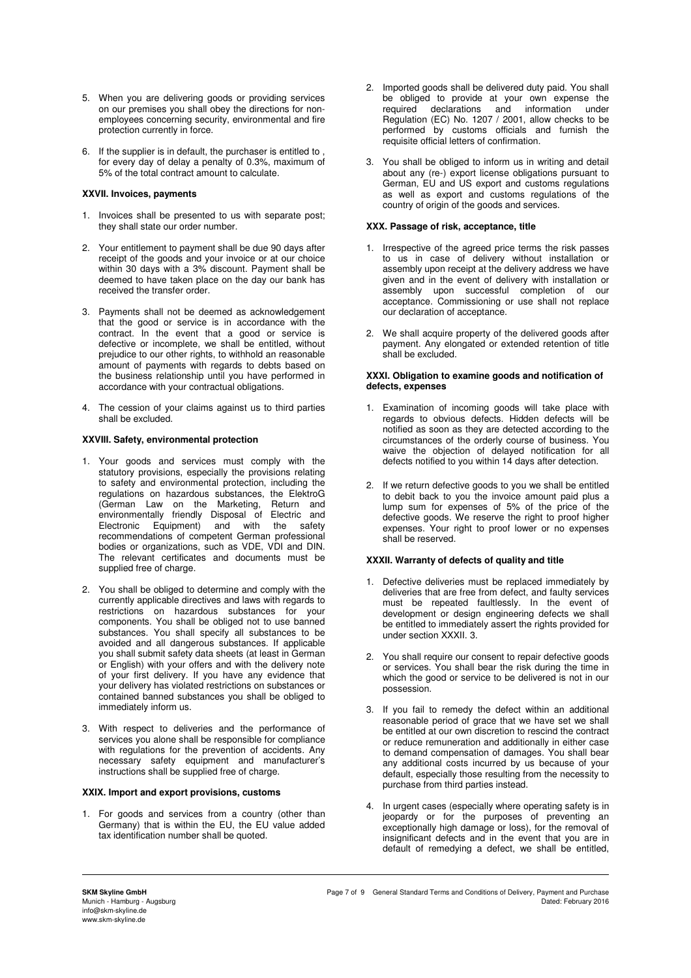- 5. When you are delivering goods or providing services on our premises you shall obey the directions for nonemployees concerning security, environmental and fire protection currently in force.
- 6. If the supplier is in default, the purchaser is entitled to , for every day of delay a penalty of 0.3%, maximum of 5% of the total contract amount to calculate.

### **XXVII. Invoices, payments**

- 1. Invoices shall be presented to us with separate post; they shall state our order number.
- 2. Your entitlement to payment shall be due 90 days after receipt of the goods and your invoice or at our choice within 30 days with a 3% discount. Payment shall be deemed to have taken place on the day our bank has received the transfer order.
- 3. Payments shall not be deemed as acknowledgement that the good or service is in accordance with the contract. In the event that a good or service is defective or incomplete, we shall be entitled, without prejudice to our other rights, to withhold an reasonable amount of payments with regards to debts based on the business relationship until you have performed in accordance with your contractual obligations.
- 4. The cession of your claims against us to third parties shall be excluded.

#### **XXVIII. Safety, environmental protection**

- 1. Your goods and services must comply with the statutory provisions, especially the provisions relating to safety and environmental protection, including the regulations on hazardous substances, the ElektroG (German Law on the Marketing, Return and environmentally friendly Disposal of Electric and Electronic Equipment) and with the safety recommendations of competent German professional bodies or organizations, such as VDE, VDI and DIN. The relevant certificates and documents must be supplied free of charge.
- 2. You shall be obliged to determine and comply with the currently applicable directives and laws with regards to restrictions on hazardous substances for your components. You shall be obliged not to use banned substances. You shall specify all substances to be avoided and all dangerous substances. If applicable you shall submit safety data sheets (at least in German or English) with your offers and with the delivery note of your first delivery. If you have any evidence that your delivery has violated restrictions on substances or contained banned substances you shall be obliged to immediately inform us.
- 3. With respect to deliveries and the performance of services you alone shall be responsible for compliance with regulations for the prevention of accidents. Any necessary safety equipment and manufacturer's instructions shall be supplied free of charge.

### **XXIX. Import and export provisions, customs**

1. For goods and services from a country (other than Germany) that is within the EU, the EU value added tax identification number shall be quoted.

- 2. Imported goods shall be delivered duty paid. You shall be obliged to provide at your own expense the required declarations and information under and information under Regulation (EC) No. 1207 / 2001, allow checks to be performed by customs officials and furnish the requisite official letters of confirmation.
- 3. You shall be obliged to inform us in writing and detail about any (re-) export license obligations pursuant to German, EU and US export and customs regulations as well as export and customs regulations of the country of origin of the goods and services.

#### **XXX. Passage of risk, acceptance, title**

- 1. Irrespective of the agreed price terms the risk passes to us in case of delivery without installation or assembly upon receipt at the delivery address we have given and in the event of delivery with installation or assembly upon successful completion of our acceptance. Commissioning or use shall not replace our declaration of acceptance.
- 2. We shall acquire property of the delivered goods after payment. Any elongated or extended retention of title shall be excluded.

#### **XXXI. Obligation to examine goods and notification of defects, expenses**

- 1. Examination of incoming goods will take place with regards to obvious defects. Hidden defects will be notified as soon as they are detected according to the circumstances of the orderly course of business. You waive the objection of delayed notification for all defects notified to you within 14 days after detection.
- 2. If we return defective goods to you we shall be entitled to debit back to you the invoice amount paid plus a lump sum for expenses of 5% of the price of the defective goods. We reserve the right to proof higher expenses. Your right to proof lower or no expenses shall be reserved.

### **XXXII. Warranty of defects of quality and title**

- 1. Defective deliveries must be replaced immediately by deliveries that are free from defect, and faulty services must be repeated faultlessly. In the event of development or design engineering defects we shall be entitled to immediately assert the rights provided for under section XXXII. 3.
- 2. You shall require our consent to repair defective goods or services. You shall bear the risk during the time in which the good or service to be delivered is not in our possession.
- 3. If you fail to remedy the defect within an additional reasonable period of grace that we have set we shall be entitled at our own discretion to rescind the contract or reduce remuneration and additionally in either case to demand compensation of damages. You shall bear any additional costs incurred by us because of your default, especially those resulting from the necessity to purchase from third parties instead.
- 4. In urgent cases (especially where operating safety is in jeopardy or for the purposes of preventing an exceptionally high damage or loss), for the removal of insignificant defects and in the event that you are in default of remedying a defect, we shall be entitled,